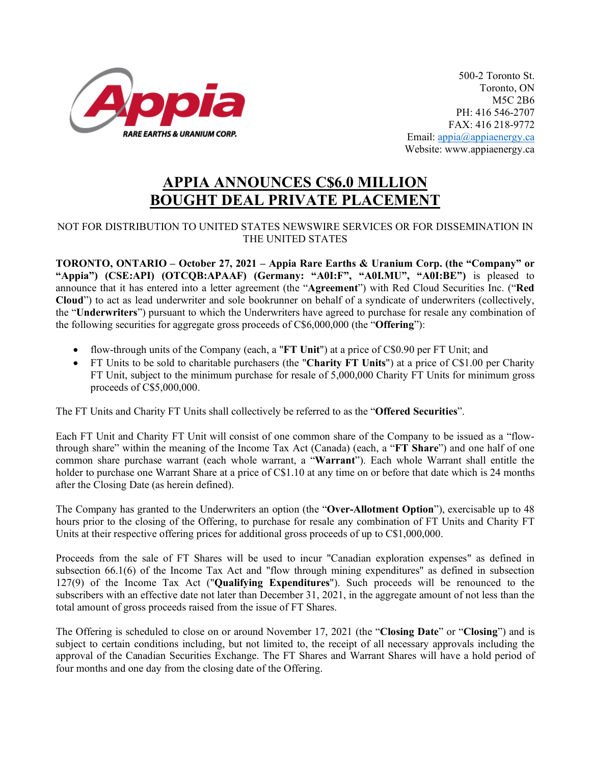

500-2 Toronto St. Toronto, ON M5C 2B6 PH: 416 546-2707 FAX: 416 218-9772 Email[: appia@appiaenergy.ca](mailto:appia@appiaenergy.ca) Website: www.appiaenergy.ca

## **APPIA ANNOUNCES C\$6.0 MILLION BOUGHT DEAL PRIVATE PLACEMENT**

## NOT FOR DISTRIBUTION TO UNITED STATES NEWSWIRE SERVICES OR FOR DISSEMINATION IN THE UNITED STATES

**TORONTO, ONTARIO – October 27, 2021 – Appia Rare Earths & Uranium Corp. (the "Company" or "Appia") (CSE:API) (OTCQB:APAAF) (Germany: "A0I:F", "A0I.MU", "A0I:BE")** is pleased to announce that it has entered into a letter agreement (the "**Agreement**") with Red Cloud Securities Inc. ("**Red Cloud**") to act as lead underwriter and sole bookrunner on behalf of a syndicate of underwriters (collectively, the "**Underwriters**") pursuant to which the Underwriters have agreed to purchase for resale any combination of the following securities for aggregate gross proceeds of C\$6,000,000 (the "**Offering**"):

- flow-through units of the Company (each, a "**FT Unit**") at a price of C\$0.90 per FT Unit; and
- FT Units to be sold to charitable purchasers (the "**Charity FT Units**") at a price of C\$1.00 per Charity FT Unit, subject to the minimum purchase for resale of 5,000,000 Charity FT Units for minimum gross proceeds of C\$5,000,000.

The FT Units and Charity FT Units shall collectively be referred to as the "**Offered Securities**".

Each FT Unit and Charity FT Unit will consist of one common share of the Company to be issued as a "flowthrough share" within the meaning of the Income Tax Act (Canada) (each, a "**FT Share**") and one half of one common share purchase warrant (each whole warrant, a "**Warrant**"). Each whole Warrant shall entitle the holder to purchase one Warrant Share at a price of C\$1.10 at any time on or before that date which is 24 months after the Closing Date (as herein defined).

The Company has granted to the Underwriters an option (the "**Over-Allotment Option**"), exercisable up to 48 hours prior to the closing of the Offering, to purchase for resale any combination of FT Units and Charity FT Units at their respective offering prices for additional gross proceeds of up to C\$1,000,000.

Proceeds from the sale of FT Shares will be used to incur "Canadian exploration expenses" as defined in subsection 66.1(6) of the Income Tax Act and "flow through mining expenditures" as defined in subsection 127(9) of the Income Tax Act ("**Qualifying Expenditures**"). Such proceeds will be renounced to the subscribers with an effective date not later than December 31, 2021, in the aggregate amount of not less than the total amount of gross proceeds raised from the issue of FT Shares.

The Offering is scheduled to close on or around November 17, 2021 (the "**Closing Date**" or "**Closing**") and is subject to certain conditions including, but not limited to, the receipt of all necessary approvals including the approval of the Canadian Securities Exchange. The FT Shares and Warrant Shares will have a hold period of four months and one day from the closing date of the Offering.